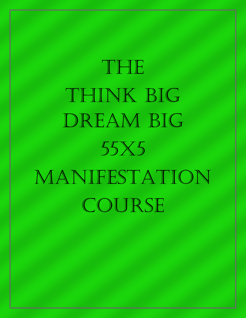# THE THINK BIG DREAM BIG 55X5 Manifestation COURSE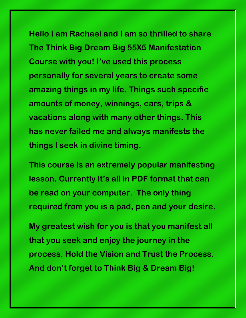**Hello I am Rachael and I am so thrilled to share The Think Big Dream Big 55X5 Manifestation Course with you! I've used this process personally for several years to create some amazing things in my life. Things such specific amounts of money, winnings, cars, trips & vacations along with many other things. This has never failed me and always manifests the things I seek in divine timing.**

**This course is an extremely popular manifesting lesson. Currently it's all in PDF format that can be read on your computer. The only thing required from you is a pad, pen and your desire.**

**My greatest wish for you is that you manifest all that you seek and enjoy the journey in the process. Hold the Vision and Trust the Process. And don't forget to Think Big & Dream Big!**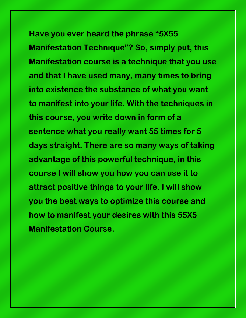**Have you ever heard the phrase "5X55 Manifestation Technique"? So, simply put, this Manifestation course is a technique that you use and that I have used many, many times to bring into existence the substance of what you want to manifest into your life. With the techniques in this course, you write down in form of a sentence what you really want 55 times for 5 days straight. There are so many ways of taking advantage of this powerful technique, in this course I will show you how you can use it to attract positive things to your life. I will show you the best ways to optimize this course and how to manifest your desires with this 55X5 Manifestation Course.**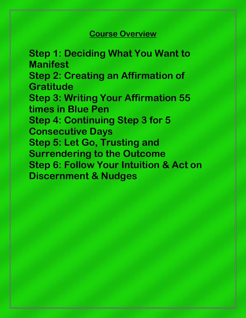#### **Course Overview**

**Step 1: Deciding What You Want to Manifest Step 2: Creating an Affirmation of Gratitude Step 3: Writing Your Affirmation 55 times in Blue Pen Step 4: Continuing Step 3 for 5 Consecutive Days Step 5: Let Go, Trusting and Surrendering to the Outcome Step 6: Follow Your Intuition & Act on Discernment & Nudges**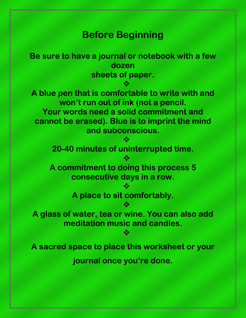### **Before Beginning**

**Be sure to have a journal or notebook with a few dozen sheets of paper.**  $\frac{1}{2}$ **A blue pen that is comfortable to write with and won't run out of ink (not a pencil. Your words need a solid commitment and cannot be erased). Blue is to imprint the mind and subconscious.**  $\frac{1}{2}$ **20-40 minutes of uninterrupted time.**  $\frac{1}{2}$ **A commitment to doing this process 5 consecutive days in a row.**  $\frac{1}{2}$ **A place to sit comfortably.**  $\frac{1}{2}$ **A glass of water, tea or wine. You can also add meditation music and candles.** ≪ **A sacred space to place this worksheet or your journal once you're done.**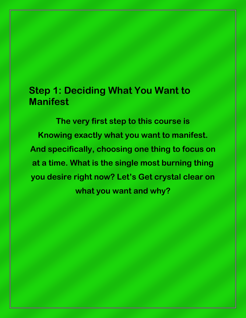## **Step 1: Deciding What You Want to Manifest**

**The very first step to this course is Knowing exactly what you want to manifest. And specifically, choosing one thing to focus on at a time. What is the single most burning thing you desire right now? Let's Get crystal clear on what you want and why?**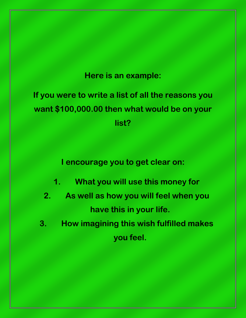#### **Here is an example:**

**If you were to write a list of all the reasons you want \$100,000.00 then what would be on your list?**

**I encourage you to get clear on:**

- **1. What you will use this money for**
- **2. As well as how you will feel when you have this in your life.**
- **3. How imagining this wish fulfilled makes you feel.**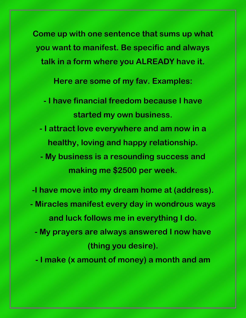**Come up with one sentence that sums up what you want to manifest. Be specific and always talk in a form where you ALREADY have it.**

**Here are some of my fav. Examples:**

- **- I have financial freedom because I have started my own business.**
- **- I attract love everywhere and am now in a healthy, loving and happy relationship.**
- **- My business is a resounding success and making me \$2500 per week.**
- **-I have move into my dream home at (address).**
- **- Miracles manifest every day in wondrous ways and luck follows me in everything I do.**
	- **- My prayers are always answered I now have (thing you desire).**
	- **- I make (x amount of money) a month and am**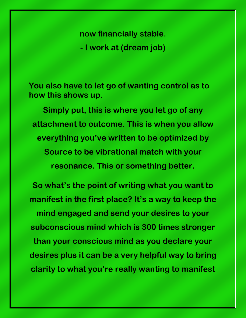**now financially stable.**

**- I work at (dream job)**

**You also have to let go of wanting control as to how this shows up.** 

**Simply put, this is where you let go of any attachment to outcome. This is when you allow everything you've written to be optimized by Source to be vibrational match with your resonance. This or something better.**

**So what's the point of writing what you want to manifest in the first place? It's a way to keep the mind engaged and send your desires to your subconscious mind which is 300 times stronger than your conscious mind as you declare your desires plus it can be a very helpful way to bring clarity to what you're really wanting to manifest**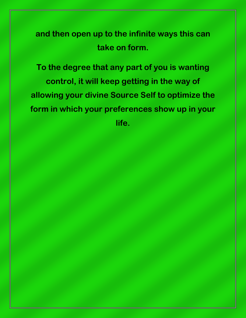## **and then open up to the infinite ways this can take on form.**

**To the degree that any part of you is wanting control, it will keep getting in the way of allowing your divine Source Self to optimize the form in which your preferences show up in your life.**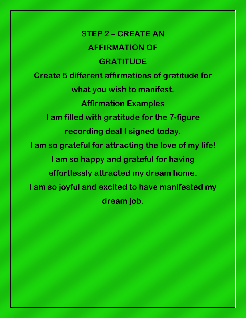**STEP 2 – CREATE AN AFFIRMATION OF GRATITUDE Create 5 different affirmations of gratitude for what you wish to manifest. Affirmation Examples I am filled with gratitude for the 7-figure recording deal I signed today. I am so grateful for attracting the love of my life! I am so happy and grateful for having effortlessly attracted my dream home. I am so joyful and excited to have manifested my dream job.**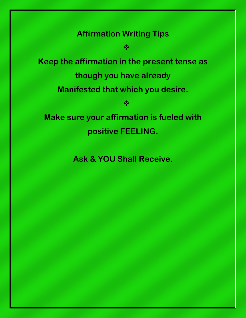#### **Affirmation Writing Tips**

 $\frac{1}{2}$ 

**Keep the affirmation in the present tense as though you have already Manifested that which you desire.**  $\frac{1}{2}$ 

**Make sure your affirmation is fueled with positive FEELING.**

**Ask & YOU Shall Receive.**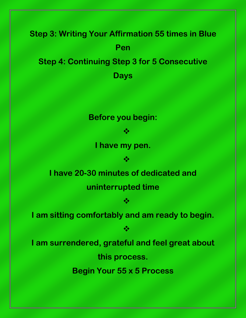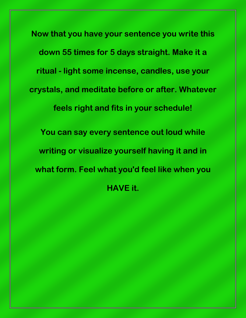**Now that you have your sentence you write this down 55 times for 5 days straight. Make it a ritual - light some incense, candles, use your crystals, and meditate before or after. Whatever feels right and fits in your schedule! You can say every sentence out loud while writing or visualize yourself having it and in what form. Feel what you'd feel like when you HAVE it.**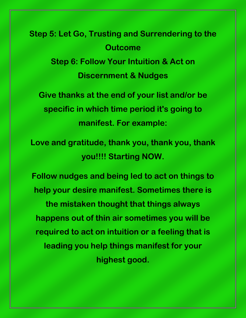**Step 5: Let Go, Trusting and Surrendering to the Outcome Step 6: Follow Your Intuition & Act on Discernment & Nudges**

**Give thanks at the end of your list and/or be specific in which time period it's going to manifest. For example:**

**Love and gratitude, thank you, thank you, thank you!!!! Starting NOW.**

**Follow nudges and being led to act on things to help your desire manifest. Sometimes there is the mistaken thought that things always happens out of thin air sometimes you will be required to act on intuition or a feeling that is leading you help things manifest for your highest good.**